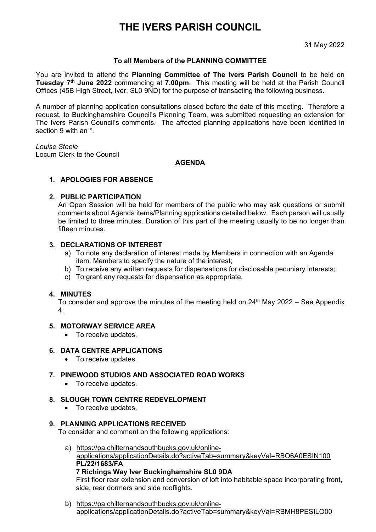# **THE IVERS PARISH COUNCIL**

31 May 2022

# **To all Members of the PLANNING COMMITTEE**

You are invited to attend the **Planning Committee of The Ivers Parish Council** to be held on **Tuesday 7th June 2022** commencing at **7.00pm**. This meeting will be held at the Parish Council Offices (45B High Street, Iver, SL0 9ND) for the purpose of transacting the following business.

A number of planning application consultations closed before the date of this meeting. Therefore a request, to Buckinghamshire Council's Planning Team, was submitted requesting an extension for The Ivers Parish Council's comments. The affected planning applications have been identified in section 9 with an  $*$ 

*Louise Steele* Locum Clerk to the Council

### **AGENDA**

# **1. APOLOGIES FOR ABSENCE**

### **2. PUBLIC PARTICIPATION**

An Open Session will be held for members of the public who may ask questions or submit comments about Agenda items/Planning applications detailed below. Each person will usually be limited to three minutes. Duration of this part of the meeting usually to be no longer than fifteen minutes.

### **3. DECLARATIONS OF INTEREST**

- a) To note any declaration of interest made by Members in connection with an Agenda item. Members to specify the nature of the interest;
- b) To receive any written requests for dispensations for disclosable pecuniary interests;
- c) To grant any requests for dispensation as appropriate.

#### **4. MINUTES**

To consider and approve the minutes of the meeting held on  $24<sup>th</sup>$  May 2022 – See Appendix 4.

# **5. MOTORWAY SERVICE AREA**

• To receive updates.

#### **6. DATA CENTRE APPLICATIONS**

• To receive updates.

# **7. PINEWOOD STUDIOS AND ASSOCIATED ROAD WORKS**

• To receive updates.

#### **8. SLOUGH TOWN CENTRE REDEVELOPMENT**

• To receive updates.

#### **9. PLANNING APPLICATIONS RECEIVED**

To consider and comment on the following applications:

a) [https://pa.chilternandsouthbucks.gov.uk/online](https://pa.chilternandsouthbucks.gov.uk/online-applications/applicationDetails.do?activeTab=summary&keyVal=RBO6A0ESIN100)[applications/applicationDetails.do?activeTab=summary&keyVal=RBO6A0ESIN100](https://pa.chilternandsouthbucks.gov.uk/online-applications/applicationDetails.do?activeTab=summary&keyVal=RBO6A0ESIN100) **PL/22/1683/FA**

#### **7 Richings Way Iver Buckinghamshire SL0 9DA**

First floor rear extension and conversion of loft into habitable space incorporating front, side, rear dormers and side rooflights.

b) [https://pa.chilternandsouthbucks.gov.uk/online](https://pa.chilternandsouthbucks.gov.uk/online-applications/applicationDetails.do?activeTab=summary&keyVal=RBMH8PESILO00)[applications/applicationDetails.do?activeTab=summary&keyVal=RBMH8PESILO00](https://pa.chilternandsouthbucks.gov.uk/online-applications/applicationDetails.do?activeTab=summary&keyVal=RBMH8PESILO00)